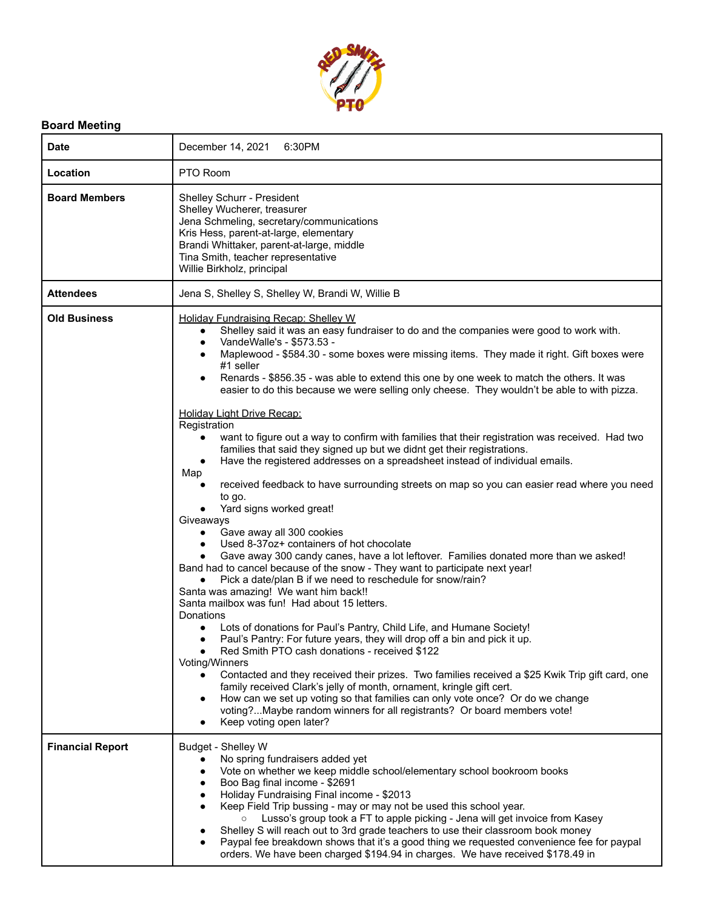

## **Board Meeting**

| <b>Date</b>             | December 14, 2021<br>6:30PM                                                                                                                                                                                                                                                                                                                                                                                                                                                                                                                                                                                                                                                                                                                                                                                                                                                                                                                                                                                                                                                                                                                                                                                                                                                                                                                                                                                                                                                                                                                                                                                                                                                                                                                                                                                                                                                                                                                                                                                                                                                                |
|-------------------------|--------------------------------------------------------------------------------------------------------------------------------------------------------------------------------------------------------------------------------------------------------------------------------------------------------------------------------------------------------------------------------------------------------------------------------------------------------------------------------------------------------------------------------------------------------------------------------------------------------------------------------------------------------------------------------------------------------------------------------------------------------------------------------------------------------------------------------------------------------------------------------------------------------------------------------------------------------------------------------------------------------------------------------------------------------------------------------------------------------------------------------------------------------------------------------------------------------------------------------------------------------------------------------------------------------------------------------------------------------------------------------------------------------------------------------------------------------------------------------------------------------------------------------------------------------------------------------------------------------------------------------------------------------------------------------------------------------------------------------------------------------------------------------------------------------------------------------------------------------------------------------------------------------------------------------------------------------------------------------------------------------------------------------------------------------------------------------------------|
| Location                | PTO Room                                                                                                                                                                                                                                                                                                                                                                                                                                                                                                                                                                                                                                                                                                                                                                                                                                                                                                                                                                                                                                                                                                                                                                                                                                                                                                                                                                                                                                                                                                                                                                                                                                                                                                                                                                                                                                                                                                                                                                                                                                                                                   |
| <b>Board Members</b>    | Shelley Schurr - President<br>Shelley Wucherer, treasurer<br>Jena Schmeling, secretary/communications<br>Kris Hess, parent-at-large, elementary<br>Brandi Whittaker, parent-at-large, middle<br>Tina Smith, teacher representative<br>Willie Birkholz, principal                                                                                                                                                                                                                                                                                                                                                                                                                                                                                                                                                                                                                                                                                                                                                                                                                                                                                                                                                                                                                                                                                                                                                                                                                                                                                                                                                                                                                                                                                                                                                                                                                                                                                                                                                                                                                           |
| <b>Attendees</b>        | Jena S, Shelley S, Shelley W, Brandi W, Willie B                                                                                                                                                                                                                                                                                                                                                                                                                                                                                                                                                                                                                                                                                                                                                                                                                                                                                                                                                                                                                                                                                                                                                                                                                                                                                                                                                                                                                                                                                                                                                                                                                                                                                                                                                                                                                                                                                                                                                                                                                                           |
| <b>Old Business</b>     | <b>Holiday Fundraising Recap: Shelley W</b><br>Shelley said it was an easy fundraiser to do and the companies were good to work with.<br>$\bullet$<br>VandeWalle's - \$573.53 -<br>$\bullet$<br>Maplewood - \$584.30 - some boxes were missing items. They made it right. Gift boxes were<br>٠<br>#1 seller<br>Renards - \$856.35 - was able to extend this one by one week to match the others. It was<br>٠<br>easier to do this because we were selling only cheese. They wouldn't be able to with pizza.<br><b>Holiday Light Drive Recap:</b><br>Registration<br>want to figure out a way to confirm with families that their registration was received. Had two<br>$\bullet$<br>families that said they signed up but we didnt get their registrations.<br>Have the registered addresses on a spreadsheet instead of individual emails.<br>Map<br>received feedback to have surrounding streets on map so you can easier read where you need<br>to go.<br>Yard signs worked great!<br>Giveaways<br>Gave away all 300 cookies<br>$\bullet$<br>Used 8-37oz+ containers of hot chocolate<br>$\bullet$<br>Gave away 300 candy canes, have a lot leftover. Families donated more than we asked!<br>Band had to cancel because of the snow - They want to participate next year!<br>Pick a date/plan B if we need to reschedule for snow/rain?<br>Santa was amazing! We want him back!!<br>Santa mailbox was fun! Had about 15 letters.<br>Donations<br>Lots of donations for Paul's Pantry, Child Life, and Humane Society!<br>$\bullet$<br>Paul's Pantry: For future years, they will drop off a bin and pick it up.<br>Red Smith PTO cash donations - received \$122<br><b>Voting/Winners</b><br>Contacted and they received their prizes. Two families received a \$25 Kwik Trip gift card, one<br>$\bullet$<br>family received Clark's jelly of month, ornament, kringle gift cert.<br>How can we set up voting so that families can only vote once? Or do we change<br>$\bullet$<br>voting?Maybe random winners for all registrants? Or board members vote!<br>Keep voting open later? |
| <b>Financial Report</b> | Budget - Shelley W<br>No spring fundraisers added yet<br>$\bullet$<br>Vote on whether we keep middle school/elementary school bookroom books<br>$\bullet$<br>Boo Bag final income - \$2691<br>$\bullet$<br>Holiday Fundraising Final income - \$2013<br>٠<br>Keep Field Trip bussing - may or may not be used this school year.<br>$\bullet$<br>Lusso's group took a FT to apple picking - Jena will get invoice from Kasey<br>$\circ$<br>Shelley S will reach out to 3rd grade teachers to use their classroom book money<br>Paypal fee breakdown shows that it's a good thing we requested convenience fee for paypal<br>orders. We have been charged \$194.94 in charges. We have received \$178.49 in                                                                                                                                                                                                                                                                                                                                                                                                                                                                                                                                                                                                                                                                                                                                                                                                                                                                                                                                                                                                                                                                                                                                                                                                                                                                                                                                                                                  |